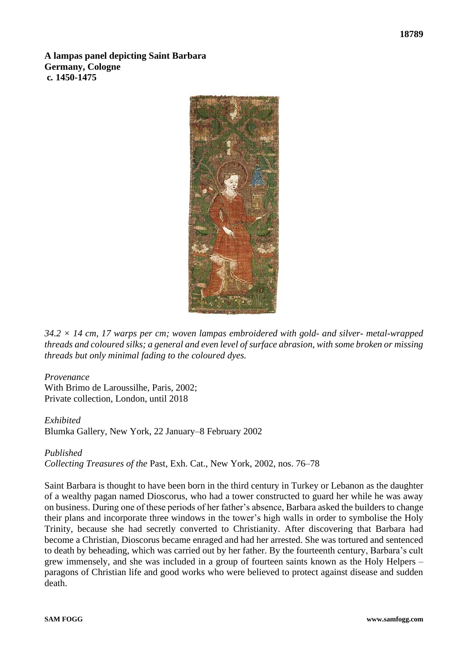**A lampas panel depicting Saint Barbara Germany, Cologne c***.* **1450-1475**



*34.2 × 14 cm, 17 warps per cm; woven lampas embroidered with gold- and silver- metal-wrapped threads and coloured silks; a general and even level of surface abrasion, with some broken or missing threads but only minimal fading to the coloured dyes.*

## *Provenance*

With Brimo de Laroussilhe, Paris, 2002; Private collection, London, until 2018

## *Exhibited*

Blumka Gallery, New York, 22 January–8 February 2002

## *Published*

*Collecting Treasures of the* Past, Exh. Cat., New York, 2002, nos. 76–78

Saint Barbara is thought to have been born in the third century in Turkey or Lebanon as the daughter of a wealthy pagan named Dioscorus, who had a tower constructed to guard her while he was away on business. During one of these periods of her father's absence, Barbara asked the builders to change their plans and incorporate three windows in the tower's high walls in order to symbolise the Holy Trinity, because she had secretly converted to Christianity. After discovering that Barbara had become a Christian, Dioscorus became enraged and had her arrested. She was tortured and sentenced to death by beheading, which was carried out by her father. By the fourteenth century, Barbara's cult grew immensely, and she was included in a group of fourteen saints known as the Holy Helpers – paragons of Christian life and good works who were believed to protect against disease and sudden death.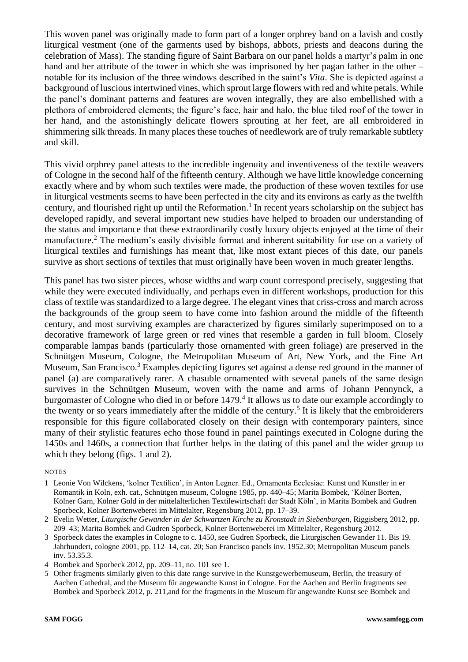This woven panel was originally made to form part of a longer orphrey band on a lavish and costly liturgical vestment (one of the garments used by bishops, abbots, priests and deacons during the celebration of Mass). The standing figure of Saint Barbara on our panel holds a martyr's palm in one hand and her attribute of the tower in which she was imprisoned by her pagan father in the other – notable for its inclusion of the three windows described in the saint's *Vita*. She is depicted against a background of luscious intertwined vines, which sprout large flowers with red and white petals. While the panel's dominant patterns and features are woven integrally, they are also embellished with a plethora of embroidered elements; the figure's face, hair and halo, the blue tiled roof of the tower in her hand, and the astonishingly delicate flowers sprouting at her feet, are all embroidered in shimmering silk threads. In many places these touches of needlework are of truly remarkable subtlety and skill.

This vivid orphrey panel attests to the incredible ingenuity and inventiveness of the textile weavers of Cologne in the second half of the fifteenth century. Although we have little knowledge concerning exactly where and by whom such textiles were made, the production of these woven textiles for use in liturgical vestments seems to have been perfected in the city and its environs as early as the twelfth century, and flourished right up until the Reformation.<sup>1</sup> In recent years scholarship on the subject has developed rapidly, and several important new studies have helped to broaden our understanding of the status and importance that these extraordinarily costly luxury objects enjoyed at the time of their manufacture.<sup>2</sup> The medium's easily divisible format and inherent suitability for use on a variety of liturgical textiles and furnishings has meant that, like most extant pieces of this date, our panels survive as short sections of textiles that must originally have been woven in much greater lengths.

This panel has two sister pieces, whose widths and warp count correspond precisely, suggesting that while they were executed individually, and perhaps even in different workshops, production for this class of textile was standardized to a large degree. The elegant vines that criss-cross and march across the backgrounds of the group seem to have come into fashion around the middle of the fifteenth century, and most surviving examples are characterized by figures similarly superimposed on to a decorative framework of large green or red vines that resemble a garden in full bloom. Closely comparable lampas bands (particularly those ornamented with green foliage) are preserved in the Schnütgen Museum, Cologne, the Metropolitan Museum of Art, New York, and the Fine Art Museum, San Francisco.<sup>3</sup> Examples depicting figures set against a dense red ground in the manner of panel (a) are comparatively rarer. A chasuble ornamented with several panels of the same design survives in the Schnütgen Museum, woven with the name and arms of Johann Pennynck, a burgomaster of Cologne who died in or before 1479.<sup>4</sup> It allows us to date our example accordingly to the twenty or so years immediately after the middle of the century.<sup>5</sup> It is likely that the embroiderers responsible for this figure collaborated closely on their design with contemporary painters, since many of their stylistic features echo those found in panel paintings executed in Cologne during the 1450s and 1460s, a connection that further helps in the dating of this panel and the wider group to which they belong (figs. 1 and 2).

## NOTES

- 1 Leonie Von Wilckens, 'kolner Textilien', in Anton Legner. Ed., Ornamenta Ecclesiae: Kunst und Kunstler in er Romantik in Koln, exh. cat., Schnütgen museum, Cologne 1985, pp. 440–45; Marita Bombek, 'Kölner Borten, Kölner Garn, Kölner Gold in der mittelalterlichen Textilewirtschaft der Stadt Köln', in Marita Bombek and Gudren Sporbeck, Kolner Bortenweberei im Mittelalter, Regensburg 2012, pp. 17–39.
- 2 Evelin Wetter, *Liturgische Gewander in der Schwartzen Kirche zu Kronstadt in Siebenburgen*, Riggisberg 2012, pp. 209–43; Marita Bombek and Gudren Sporbeck, Kolner Bortenweberei im Mittelalter, Regensburg 2012.
- 3 Sporbeck dates the examples in Cologne to c. 1450, see Gudren Sporbeck, die Liturgischen Gewander 11. Bis 19. Jahrhundert, cologne 2001, pp. 112–14, cat. 20; San Francisco panels inv. 1952.30; Metropolitan Museum panels inv. 53.35.3.
- 4 Bombek and Sporbeck 2012, pp. 209–11, no. 101 see 1.
- 5 Other fragments similarly given to this date range survive in the Kunstgewerbemuseum, Berlin, the treasury of Aachen Cathedral, and the Museum für angewandte Kunst in Cologne. For the Aachen and Berlin fragments see Bombek and Sporbeck 2012, p. 211,and for the fragments in the Museum für angewandte Kunst see Bombek and